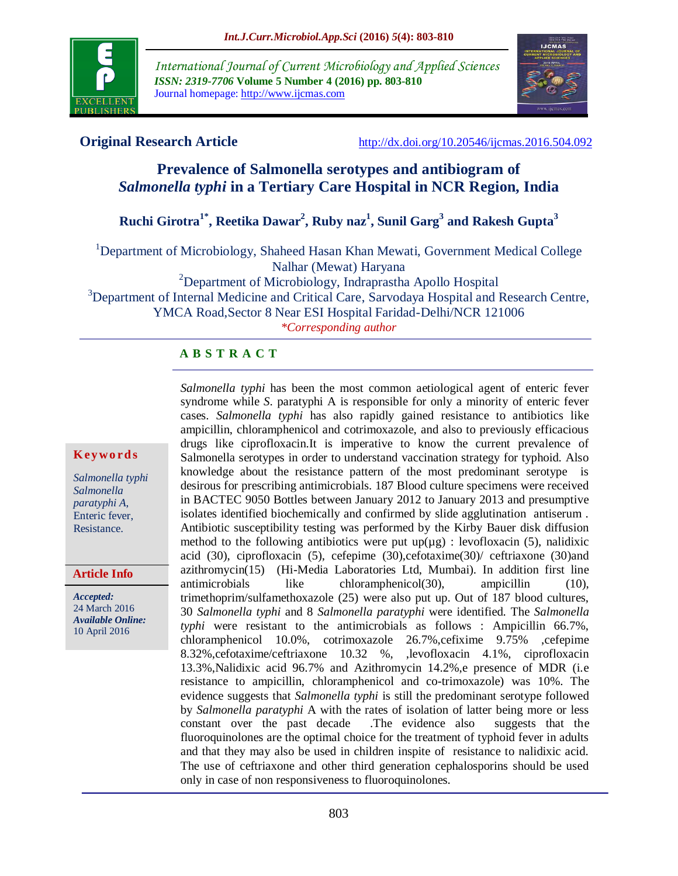

*International Journal of Current Microbiology and Applied Sciences ISSN: 2319-7706* **Volume 5 Number 4 (2016) pp. 803-810** Journal homepage: http://www.ijcmas.com



**Original Research Article** <http://dx.doi.org/10.20546/ijcmas.2016.504.092>

# **Prevalence of Salmonella serotypes and antibiogram of**  *Salmonella typhi* **in a Tertiary Care Hospital in NCR Region, India**

# **Ruchi Girotra1\* , Reetika Dawar<sup>2</sup> , Ruby naz<sup>1</sup> , Sunil Garg<sup>3</sup> and Rakesh Gupta<sup>3</sup>**

<sup>1</sup>Department of Microbiology, Shaheed Hasan Khan Mewati, Government Medical College

Nalhar (Mewat) Haryana

<sup>2</sup>Department of Microbiology, Indraprastha Apollo Hospital

<sup>3</sup>Department of Internal Medicine and Critical Care, Sarvodaya Hospital and Research Centre, YMCA Road,Sector 8 Near ESI Hospital Faridad-Delhi/NCR 121006

*\*Corresponding author*

# **A B S T R A C T**

#### **K ey w o rd s**

*Salmonella typhi Salmonella paratyphi A*, Enteric fever, Resistance.

#### **Article Info**

*Accepted:*  24 March 2016 *Available Online:* 10 April 2016

*Salmonella typhi* has been the most common aetiological agent of enteric fever syndrome while *S*. paratyphi A is responsible for only a minority of enteric fever cases. *Salmonella typhi* has also rapidly gained resistance to antibiotics like ampicillin, chloramphenicol and cotrimoxazole, and also to previously efficacious drugs like ciprofloxacin.It is imperative to know the current prevalence of Salmonella serotypes in order to understand vaccination strategy for typhoid. Also knowledge about the resistance pattern of the most predominant serotype is desirous for prescribing antimicrobials. 187 Blood culture specimens were received in BACTEC 9050 Bottles between January 2012 to January 2013 and presumptive isolates identified biochemically and confirmed by slide agglutination antiserum . Antibiotic susceptibility testing was performed by the Kirby Bauer disk diffusion method to the following antibiotics were put  $up(\mu g)$ : levofloxacin (5), nalidixic acid (30), ciprofloxacin (5), cefepime (30),cefotaxime(30)/ ceftriaxone (30)and azithromycin(15) (Hi-Media Laboratories Ltd, Mumbai). In addition first line antimicrobials like chloramphenicol(30), ampicillin (10), trimethoprim/sulfamethoxazole (25) were also put up. Out of 187 blood cultures, 30 *Salmonella typhi* and 8 *Salmonella paratyphi* were identified. The *Salmonella typhi* were resistant to the antimicrobials as follows : Ampicillin 66.7%, chloramphenicol 10.0%, cotrimoxazole 26.7%,cefixime 9.75% ,cefepime 8.32%,cefotaxime/ceftriaxone 10.32 %, ,levofloxacin 4.1%, ciprofloxacin 13.3%,Nalidixic acid 96.7% and Azithromycin 14.2%,e presence of MDR (i.e resistance to ampicillin, chloramphenicol and co-trimoxazole) was 10%. The evidence suggests that *Salmonella typhi* is still the predominant serotype followed by *Salmonella paratyphi* A with the rates of isolation of latter being more or less constant over the past decade .The evidence also suggests that the fluoroquinolones are the optimal choice for the treatment of typhoid fever in adults and that they may also be used in children inspite of resistance to nalidixic acid. The use of ceftriaxone and other third generation cephalosporins should be used only in case of non responsiveness to fluoroquinolones.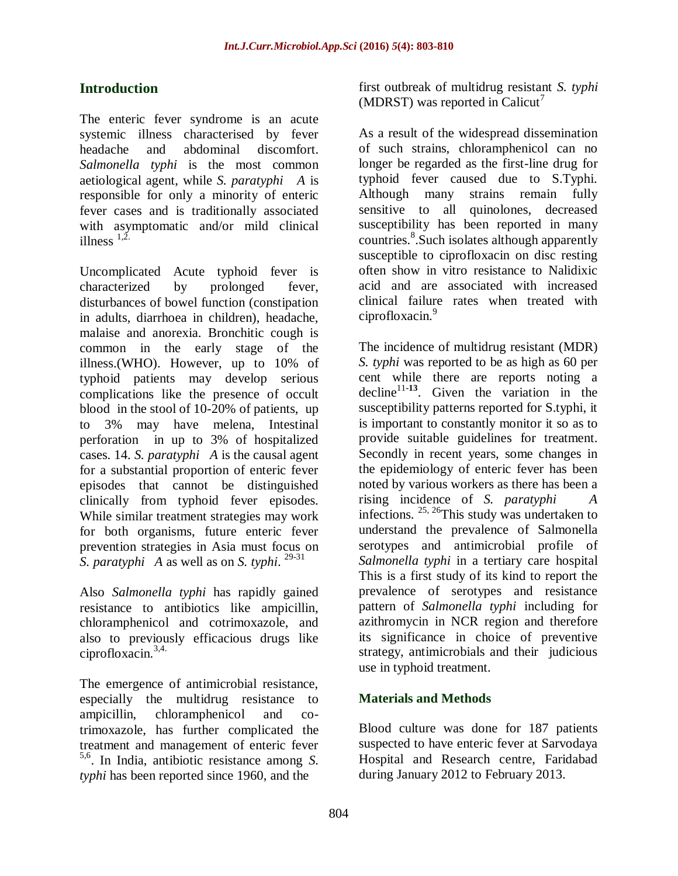# **Introduction**

The enteric fever syndrome is an acute systemic illness characterised by fever headache and abdominal discomfort. *Salmonella typhi* is the most common aetiological agent, while *S. paratyphi A* is responsible for only a minority of enteric fever cases and is traditionally associated with asymptomatic and/or mild clinical illness  $^{1,2}$ .

Uncomplicated Acute typhoid fever is characterized by prolonged fever, disturbances of bowel function (constipation in adults, diarrhoea in children), headache, malaise and anorexia. Bronchitic cough is common in the early stage of the illness.(WHO). However, up to 10% of typhoid patients may develop serious complications like the presence of occult blood in the stool of 10-20% of patients, up to 3% may have melena, Intestinal perforation in up to 3% of hospitalized cases. 14. *S. paratyphi A* is the causal agent for a substantial proportion of enteric fever episodes that cannot be distinguished clinically from typhoid fever episodes. While similar treatment strategies may work for both organisms, future enteric fever prevention strategies in Asia must focus on *S. paratyphi A* as well as on *S. typhi*. 29-31

Also *Salmonella typhi* has rapidly gained resistance to antibiotics like ampicillin, chloramphenicol and cotrimoxazole, and also to previously efficacious drugs like ciprofloxacin. $3,4$ .

The emergence of antimicrobial resistance, especially the multidrug resistance to ampicillin, chloramphenicol and cotrimoxazole, has further complicated the treatment and management of enteric fever 5,6. In India, antibiotic resistance among *S. typhi* has been reported since 1960, and the

first outbreak of multidrug resistant *S. typhi* (MDRST) was reported in Calicut<sup>7</sup>

As a result of the widespread dissemination of such strains, chloramphenicol can no longer be regarded as the first-line drug for typhoid fever caused due to S.Typhi. Although many strains remain fully sensitive to all quinolones, decreased susceptibility has been reported in many countries.<sup>8</sup>. Such isolates although apparently susceptible to ciprofloxacin on disc resting often show in vitro resistance to Nalidixic acid and are associated with increased clinical failure rates when treated with ciprofloxacin.<sup>9</sup>

The incidence of multidrug resistant (MDR) *S. typhi* was reported to be as high as 60 per cent while there are reports noting a decline<sup>11-13</sup>. Given the variation in the susceptibility patterns reported for S.typhi, it is important to constantly monitor it so as to provide suitable guidelines for treatment. Secondly in recent years, some changes in the epidemiology of enteric fever has been noted by various workers as there has been a rising incidence of *S. paratyphi A* infections.  $25, 26$ This study was undertaken to understand the prevalence of Salmonella serotypes and antimicrobial profile of *Salmonella typhi* in a tertiary care hospital This is a first study of its kind to report the prevalence of serotypes and resistance pattern of *Salmonella typhi* including for azithromycin in NCR region and therefore its significance in choice of preventive strategy, antimicrobials and their judicious use in typhoid treatment.

# **Materials and Methods**

Blood culture was done for 187 patients suspected to have enteric fever at Sarvodaya Hospital and Research centre, Faridabad during January 2012 to February 2013.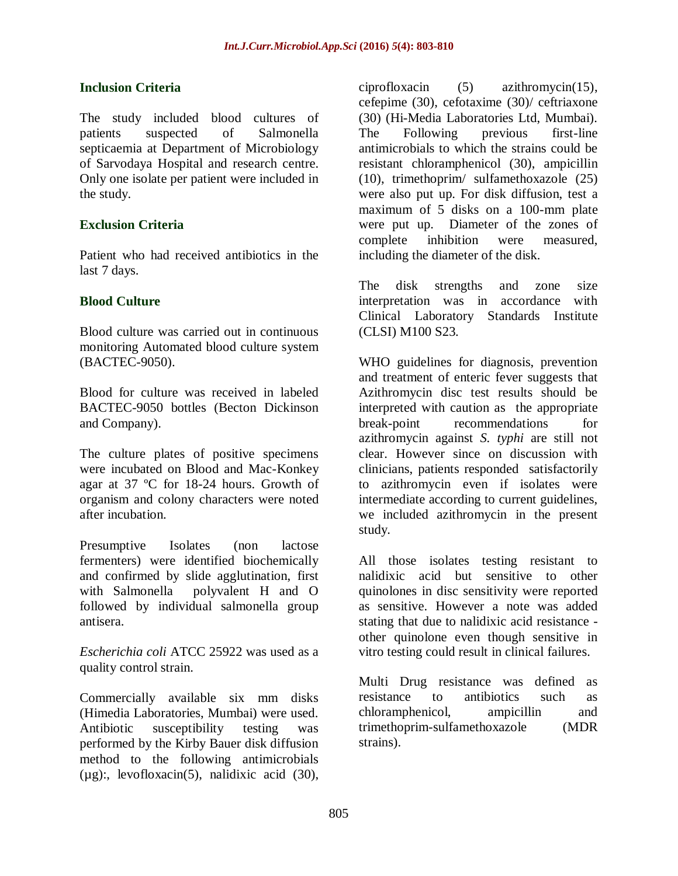# **Inclusion Criteria**

The study included blood cultures of patients suspected of Salmonella septicaemia at Department of Microbiology of Sarvodaya Hospital and research centre. Only one isolate per patient were included in the study.

## **Exclusion Criteria**

Patient who had received antibiotics in the last 7 days.

## **Blood Culture**

Blood culture was carried out in continuous monitoring Automated blood culture system (BACTEC-9050).

Blood for culture was received in labeled BACTEC-9050 bottles (Becton Dickinson and Company).

The culture plates of positive specimens were incubated on Blood and Mac-Konkey agar at 37 ºC for 18-24 hours. Growth of organism and colony characters were noted after incubation.

Presumptive Isolates (non lactose fermenters) were identified biochemically and confirmed by slide agglutination, first with Salmonella polyvalent H and O followed by individual salmonella group antisera.

*Escherichia coli* ATCC 25922 was used as a quality control strain.

Commercially available six mm disks (Himedia Laboratories, Mumbai) were used. Antibiotic susceptibility testing was performed by the Kirby Bauer disk diffusion method to the following antimicrobials  $(\mu \gtrsim)$ : levofloxacin(5), nalidixic acid (30),

ciprofloxacin (5) azithromycin(15), cefepime (30), cefotaxime (30)/ ceftriaxone (30) (Hi-Media Laboratories Ltd, Mumbai). The Following previous first-line antimicrobials to which the strains could be resistant chloramphenicol (30), ampicillin (10), trimethoprim/ sulfamethoxazole (25) were also put up. For disk diffusion, test a maximum of 5 disks on a 100-mm plate were put up. Diameter of the zones of complete inhibition were measured, including the diameter of the disk.

The disk strengths and zone size interpretation was in accordance with Clinical Laboratory Standards Institute (CLSI) M100 S23.

WHO guidelines for diagnosis, prevention and treatment of enteric fever suggests that Azithromycin disc test results should be interpreted with caution as the appropriate break-point recommendations for azithromycin against *S. typhi* are still not clear. However since on discussion with clinicians, patients responded satisfactorily to azithromycin even if isolates were intermediate according to current guidelines, we included azithromycin in the present study.

All those isolates testing resistant to nalidixic acid but sensitive to other quinolones in disc sensitivity were reported as sensitive. However a note was added stating that due to nalidixic acid resistance other quinolone even though sensitive in vitro testing could result in clinical failures.

Multi Drug resistance was defined as resistance to antibiotics such as chloramphenicol, ampicillin and trimethoprim-sulfamethoxazole (MDR strains).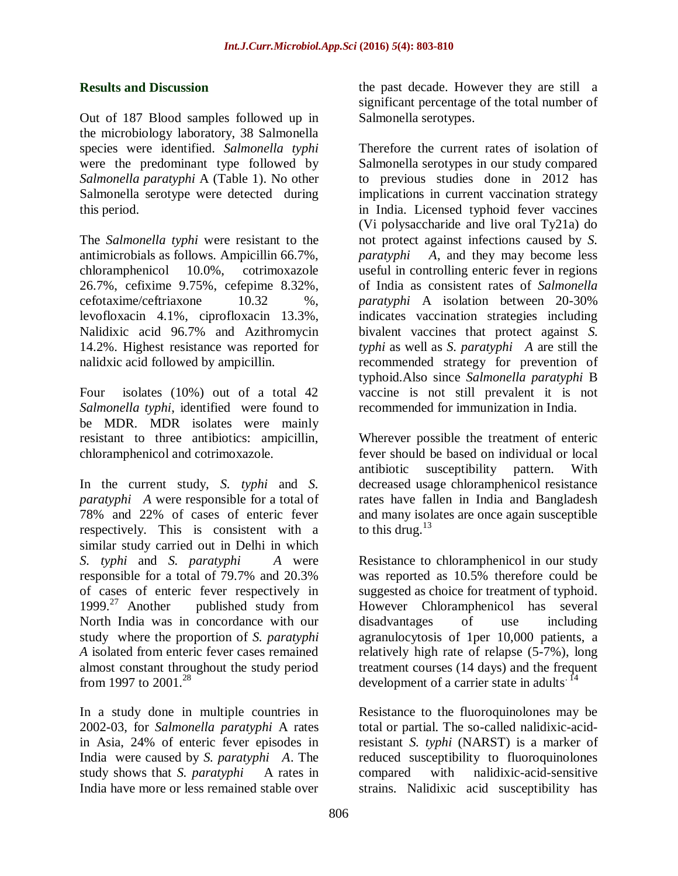# **Results and Discussion**

Out of 187 Blood samples followed up in the microbiology laboratory, 38 Salmonella species were identified. *Salmonella typhi* were the predominant type followed by *Salmonella paratyphi* A (Table 1). No other Salmonella serotype were detected during this period.

The *Salmonella typhi* were resistant to the antimicrobials as follows. Ampicillin 66.7%, chloramphenicol 10.0%, cotrimoxazole 26.7%, cefixime 9.75%, cefepime 8.32%, cefotaxime/ceftriaxone 10.32 %, levofloxacin 4.1%, ciprofloxacin 13.3%, Nalidixic acid 96.7% and Azithromycin 14.2%. Highest resistance was reported for nalidxic acid followed by ampicillin.

Four isolates (10%) out of a total 42 *Salmonella typhi*, identified were found to be MDR. MDR isolates were mainly resistant to three antibiotics: ampicillin, chloramphenicol and cotrimoxazole.

In the current study, *S. typhi* and *S. paratyphi A* were responsible for a total of 78% and 22% of cases of enteric fever respectively. This is consistent with a similar study carried out in Delhi in which *S. typhi* and *S. paratyphi A* were responsible for a total of 79.7% and 20.3% of cases of enteric fever respectively in  $1999.^{27}$  Another published study from published study from North India was in concordance with our study where the proportion of *S. paratyphi A* isolated from enteric fever cases remained almost constant throughout the study period from 1997 to  $2001.<sup>28</sup>$ 

In a study done in multiple countries in 2002-03, for *Salmonella paratyphi* A rates in Asia, 24% of enteric fever episodes in India were caused by *S. paratyphi A*. The study shows that *S. paratyphi* A rates in India have more or less remained stable over

the past decade. However they are still a significant percentage of the total number of Salmonella serotypes.

Therefore the current rates of isolation of Salmonella serotypes in our study compared to previous studies done in 2012 has implications in current vaccination strategy in India. Licensed typhoid fever vaccines (Vi polysaccharide and live oral Ty21a) do not protect against infections caused by *S. paratyphi A*, and they may become less useful in controlling enteric fever in regions of India as consistent rates of *Salmonella paratyphi* A isolation between 20-30% indicates vaccination strategies including bivalent vaccines that protect against *S. typhi* as well as *S. paratyphi A* are still the recommended strategy for prevention of typhoid.Also since *Salmonella paratyphi* B vaccine is not still prevalent it is not recommended for immunization in India.

Wherever possible the treatment of enteric fever should be based on individual or local antibiotic susceptibility pattern. With decreased usage chloramphenicol resistance rates have fallen in India and Bangladesh and many isolates are once again susceptible to this drug. $^{13}$ 

Resistance to chloramphenicol in our study was reported as 10.5% therefore could be suggested as choice for treatment of typhoid. However Chloramphenicol has several disadvantages of use including agranulocytosis of 1per 10,000 patients, a relatively high rate of relapse (5-7%), long treatment courses (14 days) and the frequent development of a carrier state in adults.<sup>14</sup>

Resistance to the fluoroquinolones may be total or partial. The so-called nalidixic-acidresistant *S. typhi* (NARST) is a marker of reduced susceptibility to fluoroquinolones compared with nalidixic-acid-sensitive strains. Nalidixic acid susceptibility has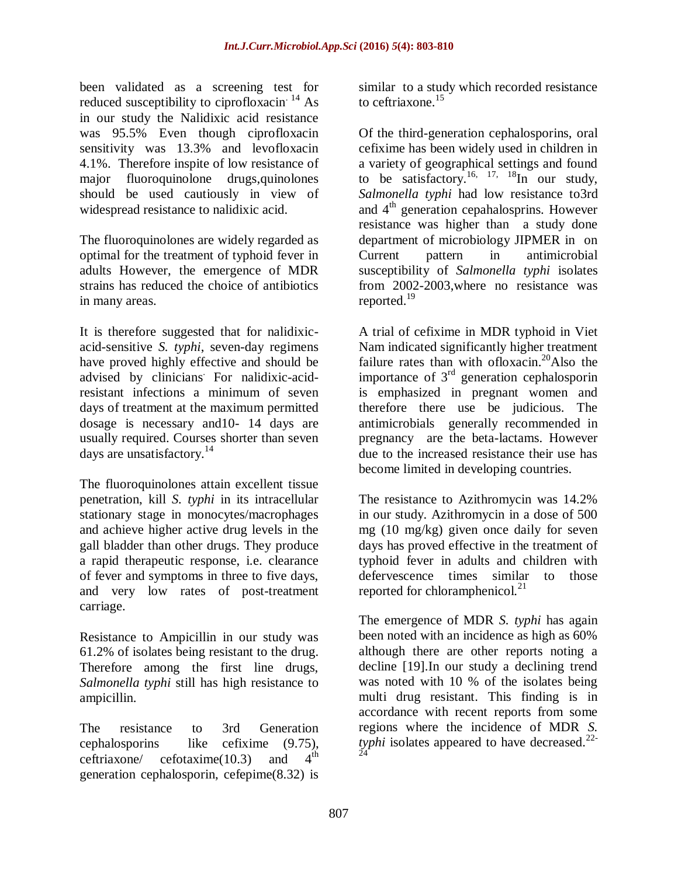been validated as a screening test for reduced susceptibility to ciprofloxacin<sup>14</sup> As in our study the Nalidixic acid resistance was 95.5% Even though ciprofloxacin sensitivity was 13.3% and levofloxacin 4.1%. Therefore inspite of low resistance of major fluoroquinolone drugs,quinolones should be used cautiously in view of widespread resistance to nalidixic acid.

The fluoroquinolones are widely regarded as optimal for the treatment of typhoid fever in adults However, the emergence of MDR strains has reduced the choice of antibiotics in many areas.

It is therefore suggested that for nalidixicacid-sensitive *S. typhi*, seven-day regimens have proved highly effective and should be advised by clinicians. For nalidixic-acidresistant infections a minimum of seven days of treatment at the maximum permitted dosage is necessary and10- 14 days are usually required. Courses shorter than seven days are unsatisfactory.<sup>14</sup>

The fluoroquinolones attain excellent tissue penetration, kill *S. typhi* in its intracellular stationary stage in monocytes/macrophages and achieve higher active drug levels in the gall bladder than other drugs. They produce a rapid therapeutic response, i.e. clearance of fever and symptoms in three to five days, and very low rates of post-treatment carriage.

Resistance to Ampicillin in our study was 61.2% of isolates being resistant to the drug. Therefore among the first line drugs, *Salmonella typhi* still has high resistance to ampicillin.

The resistance to 3rd Generation cephalosporins like cefixime (9.75),<br>ceftriaxone/ cefotaxime(10.3) and  $A<sup>th</sup>$  $c$ eftriaxone/  $c$ efotaxime $(10.3)$  and generation cephalosporin, cefepime(8.32) is

similar to a study which recorded resistance to ceftriaxone.<sup>15</sup>

Of the third-generation cephalosporins, oral cefixime has been widely used in children in a variety of geographical settings and found to be satisfactory.<sup>16, 17, 18</sup>In our study, *Salmonella typhi* had low resistance to3rd and  $4<sup>th</sup>$  generation cepahalosprins. However resistance was higher than a study done department of microbiology JIPMER in on Current pattern in antimicrobial susceptibility of *Salmonella typhi* isolates from 2002-2003,where no resistance was reported.<sup>19</sup>

A trial of cefixime in MDR typhoid in Viet Nam indicated significantly higher treatment failure rates than with ofloxacin.<sup>20</sup>Also the importance of  $3<sup>rd</sup>$  generation cephalosporin is emphasized in pregnant women and therefore there use be judicious. The antimicrobials generally recommended in pregnancy are the beta-lactams. However due to the increased resistance their use has become limited in developing countries.

The resistance to Azithromycin was 14.2% in our study. Azithromycin in a dose of 500 mg (10 mg/kg) given once daily for seven days has proved effective in the treatment of typhoid fever in adults and children with defervescence times similar to those reported for chloramphenicol. $^{21}$ 

The emergence of MDR *S. typhi* has again been noted with an incidence as high as 60% although there are other reports noting a decline [19].In our study a declining trend was noted with 10 % of the isolates being multi drug resistant. This finding is in accordance with recent reports from some regions where the incidence of MDR *S.*  typhi isolates appeared to have decreased.<sup>22-24</sup>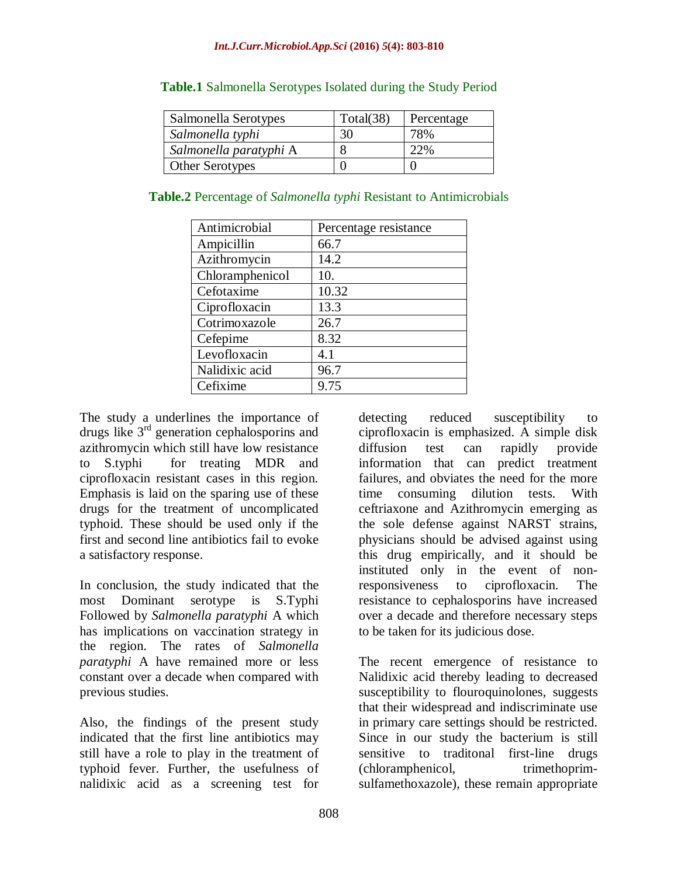| Salmonella Serotypes   | Total(38) | Percentage |
|------------------------|-----------|------------|
| Salmonella typhi       | 30        | 78%        |
| Salmonella paratyphi A |           | 22%        |
| <b>Other Serotypes</b> |           |            |

#### **Table.1** Salmonella Serotypes Isolated during the Study Period

| Antimicrobial   | Percentage resistance |
|-----------------|-----------------------|
| Ampicillin      | 66.7                  |
| Azithromycin    | 14.2                  |
| Chloramphenicol | 10.                   |
| Cefotaxime      | 10.32                 |
| Ciprofloxacin   | 13.3                  |
| Cotrimoxazole   | 26.7                  |
| Cefepime        | 8.32                  |
| Levofloxacin    | 4.1                   |
| Nalidixic acid  | 96.7                  |
| Cefixime        | 9.75                  |

The study a underlines the importance of drugs like 3rd generation cephalosporins and azithromycin which still have low resistance to S.typhi for treating MDR and ciprofloxacin resistant cases in this region. Emphasis is laid on the sparing use of these drugs for the treatment of uncomplicated typhoid. These should be used only if the first and second line antibiotics fail to evoke a satisfactory response.

In conclusion, the study indicated that the most Dominant serotype is S.Typhi Followed by *Salmonella paratyphi* A which has implications on vaccination strategy in the region. The rates of *Salmonella paratyphi* A have remained more or less constant over a decade when compared with previous studies.

Also, the findings of the present study indicated that the first line antibiotics may still have a role to play in the treatment of typhoid fever. Further, the usefulness of nalidixic acid as a screening test for

detecting reduced susceptibility to ciprofloxacin is emphasized. A simple disk diffusion test can rapidly provide information that can predict treatment failures, and obviates the need for the more time consuming dilution tests. With ceftriaxone and Azithromycin emerging as the sole defense against NARST strains, physicians should be advised against using this drug empirically, and it should be instituted only in the event of nonresponsiveness to ciprofloxacin. The resistance to cephalosporins have increased over a decade and therefore necessary steps to be taken for its judicious dose.

The recent emergence of resistance to Nalidixic acid thereby leading to decreased susceptibility to flouroquinolones, suggests that their widespread and indiscriminate use in primary care settings should be restricted. Since in our study the bacterium is still sensitive to traditonal first-line drugs (chloramphenicol, trimethoprimsulfamethoxazole), these remain appropriate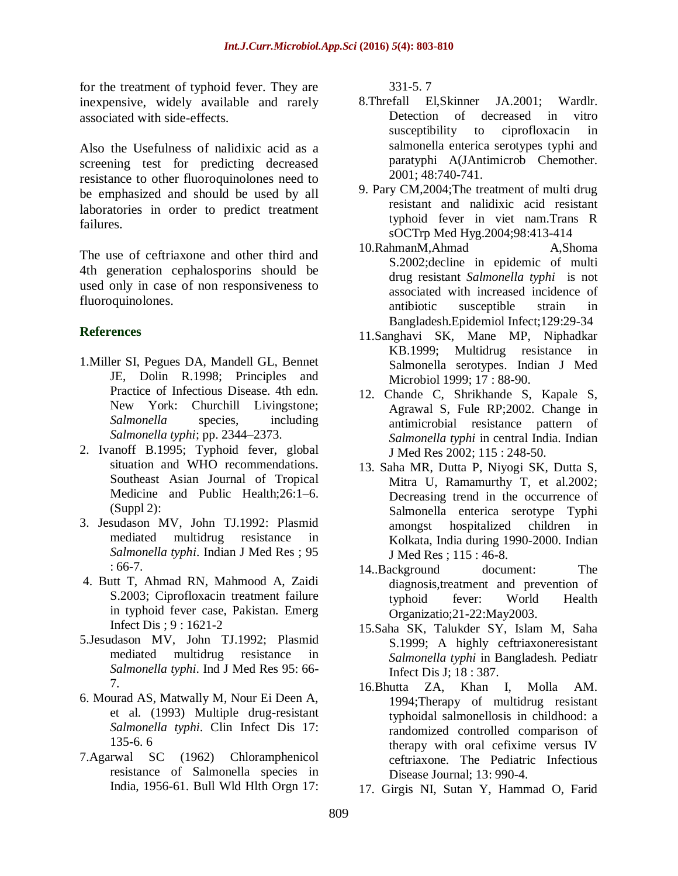for the treatment of typhoid fever. They are inexpensive, widely available and rarely associated with side-effects.

Also the Usefulness of nalidixic acid as a screening test for predicting decreased resistance to other fluoroquinolones need to be emphasized and should be used by all laboratories in order to predict treatment failures.

The use of ceftriaxone and other third and 4th generation cephalosporins should be used only in case of non responsiveness to fluoroquinolones.

# **References**

- 1.Miller SI, Pegues DA, Mandell GL, Bennet JE, Dolin R.1998; Principles and Practice of Infectious Disease. 4th edn. New York: Churchill Livingstone; *Salmonella* species, including *Salmonella typhi*; pp. 2344–2373.
- 2. Ivanoff B.1995; Typhoid fever, global situation and WHO recommendations. Southeast Asian Journal of Tropical Medicine and Public Health;26:1–6.  $(Suppl 2)$ :
- 3. Jesudason MV, John TJ.1992: Plasmid mediated multidrug resistance in *Salmonella typhi*. Indian J Med Res ; 95 : 66-7.
- 4. Butt T, Ahmad RN, Mahmood A, Zaidi S.2003; Ciprofloxacin treatment failure in typhoid fever case, Pakistan. Emerg Infect Dis ; 9 : 1621-2
- 5.Jesudason MV, John TJ.1992; Plasmid mediated multidrug resistance in *Salmonella typhi*. Ind J Med Res 95: 66- 7.
- 6. Mourad AS, Matwally M, Nour Ei Deen A, et al. (1993) Multiple drug-resistant *Salmonella typhi*. Clin Infect Dis 17: 135-6. 6
- 7.Agarwal SC (1962) Chloramphenicol resistance of Salmonella species in India, 1956-61. Bull Wld Hlth Orgn 17:

331-5. 7

- 8.Threfall El,Skinner JA.2001; Wardlr. Detection of decreased in vitro susceptibility to ciprofloxacin in salmonella enterica serotypes typhi and paratyphi A(JAntimicrob Chemother. 2001; 48:740-741.
- 9. Pary CM,2004;The treatment of multi drug resistant and nalidixic acid resistant typhoid fever in viet nam.Trans R sOCTrp Med Hyg.2004;98:413-414
- 10.RahmanM,Ahmad A,Shoma S.2002;decline in epidemic of multi drug resistant *Salmonella typhi* is not associated with increased incidence of antibiotic susceptible strain in Bangladesh.Epidemiol Infect;129:29-34
- 11.Sanghavi SK, Mane MP, Niphadkar KB.1999; Multidrug resistance in Salmonella serotypes. Indian J Med Microbiol 1999; 17 : 88-90.
- 12. Chande C, Shrikhande S, Kapale S, Agrawal S, Fule RP;2002. Change in antimicrobial resistance pattern of *Salmonella typhi* in central India. Indian J Med Res 2002; 115 : 248-50.
- 13. Saha MR, Dutta P, Niyogi SK, Dutta S, Mitra U, Ramamurthy T, et al.2002; Decreasing trend in the occurrence of Salmonella enterica serotype Typhi amongst hospitalized children in Kolkata, India during 1990-2000. Indian J Med Res ; 115 : 46-8.
- 14..Background document: The diagnosis,treatment and prevention of typhoid fever: World Health Organizatio;21-22:May2003.
- 15.Saha SK, Talukder SY, Islam M, Saha S.1999; A highly ceftriaxoneresistant *Salmonella typhi* in Bangladesh. Pediatr Infect Dis J; 18 : 387.
- 16.Bhutta ZA, Khan I, Molla AM. 1994;Therapy of multidrug resistant typhoidal salmonellosis in childhood: a randomized controlled comparison of therapy with oral cefixime versus IV ceftriaxone. The Pediatric Infectious Disease Journal; 13: 990-4.
- 17. Girgis NI, Sutan Y, Hammad O, Farid